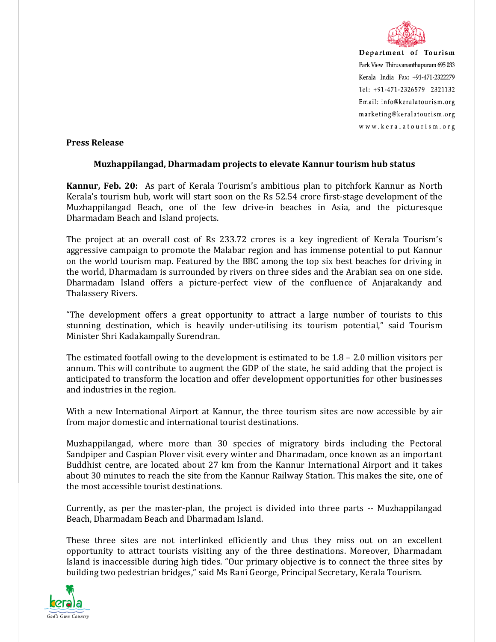

Department of Tourism Park View Thiruvananthapuram 695 033 Kerala India Fax: +91-471-2322279 Tel: +91-471-2326579 2321132 Email: info@keralatourism.org marketing@keralatourism.org www.keralatourism.org

## **Press Release**

## **Muzhappilangad, Dharmadam projects to elevate Kannur tourism hub status**

**Kannur, Feb. 20:** As part of Kerala Tourism's ambitious plan to pitchfork Kannur as North Kerala's tourism hub, work will start soon on the Rs 52.54 crore first-stage development of the Muzhappilangad Beach, one of the few drive-in beaches in Asia, and the picturesque Dharmadam Beach and Island projects.

The project at an overall cost of Rs 233.72 crores is a key ingredient of Kerala Tourism's aggressive campaign to promote the Malabar region and has immense potential to put Kannur on the world tourism map. Featured by the BBC among the top six best beaches for driving in the world, Dharmadam is surrounded by rivers on three sides and the Arabian sea on one side. Dharmadam Island offers a picture-perfect view of the confluence of Anjarakandy and Thalassery Rivers.

"The development offers a great opportunity to attract a large number of tourists to this stunning destination, which is heavily under-utilising its tourism potential," said Tourism Minister Shri Kadakampally Surendran.

The estimated footfall owing to the development is estimated to be  $1.8 - 2.0$  million visitors per annum. This will contribute to augment the GDP of the state, he said adding that the project is anticipated to transform the location and offer development opportunities for other businesses and industries in the region.

With a new International Airport at Kannur, the three tourism sites are now accessible by air from major domestic and international tourist destinations.

Muzhappilangad, where more than 30 species of migratory birds including the Pectoral Sandpiper and Caspian Plover visit every winter and Dharmadam, once known as an important Buddhist centre, are located about 27 km from the Kannur International Airport and it takes about 30 minutes to reach the site from the Kannur Railway Station. This makes the site, one of the most accessible tourist destinations.

Currently, as per the master-plan, the project is divided into three parts -- Muzhappilangad Beach, Dharmadam Beach and Dharmadam Island.

These three sites are not interlinked efficiently and thus they miss out on an excellent opportunity to attract tourists visiting any of the three destinations. Moreover, Dharmadam Island is inaccessible during high tides. "Our primary objective is to connect the three sites by building two pedestrian bridges," said Ms Rani George, Principal Secretary, Kerala Tourism.